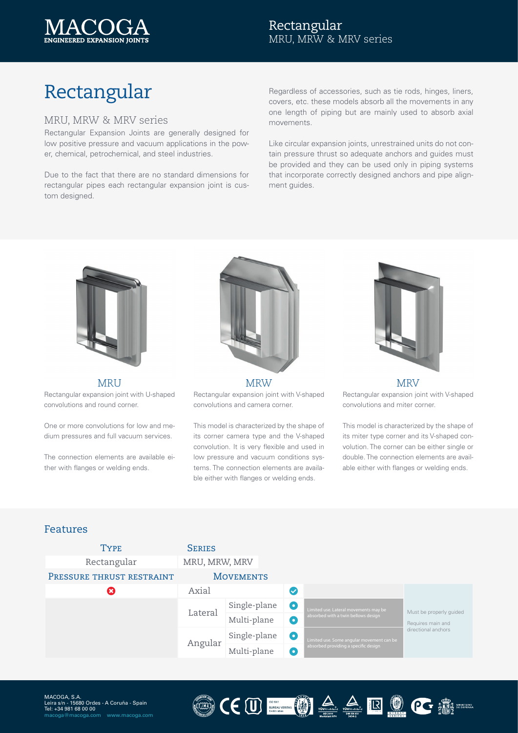

## Rectangular MRU, MRW & MRV series

# Rectangular

#### MRU, MRW & MRV series

Rectangular Expansion Joints are generally designed for low positive pressure and vacuum applications in the power, chemical, petrochemical, and steel industries.

Due to the fact that there are no standard dimensions for rectangular pipes each rectangular expansion joint is custom designed.

Regardless of accessories, such as tie rods, hinges, liners, covers, etc. these models absorb all the movements in any one length of piping but are mainly used to absorb axial movements.

Like circular expansion joints, unrestrained units do not contain pressure thrust so adequate anchors and guides must be provided and they can be used only in piping systems that incorporate correctly designed anchors and pipe alignment guides.



MRU Rectangular expansion joint with U-shaped convolutions and round corner.

One or more convolutions for low and medium pressures and full vacuum services.

The connection elements are available either with flanges or welding ends.



MRW MRV Rectangular expansion joint with V-shaped convolutions and camera corner.

This model is characterized by the shape of its corner camera type and the V-shaped convolution. It is very flexible and used in low pressure and vacuum conditions systems. The connection elements are available either with flanges or welding ends.



Rectangular expansion joint with V-shaped convolutions and miter corner.

This model is characterized by the shape of its miter type corner and its V-shaped convolution. The corner can be either single or double. The connection elements are available either with flanges or welding ends.

#### Features

| <b>TYPE</b>               | <b>SERIES</b>    |              |                          |                                                                                   |                                                                     |
|---------------------------|------------------|--------------|--------------------------|-----------------------------------------------------------------------------------|---------------------------------------------------------------------|
| Rectangular               | MRU, MRW, MRV    |              |                          |                                                                                   |                                                                     |
| PRESSURE THRUST RESTRAINT | <b>MOVEMENTS</b> |              |                          |                                                                                   |                                                                     |
|                           | Axial            |              | $\checkmark$             |                                                                                   |                                                                     |
|                           | Lateral          | Single-plane | o                        | Limited use. Lateral movements may be<br>absorbed with a twin bellows design      | Must be properly quided<br>Requires main and<br>directional anchors |
|                           |                  | Multi-plane  | $\overline{\phantom{0}}$ |                                                                                   |                                                                     |
|                           | Angular          | Single-plane | o                        | Limited use. Some angular movement can be<br>absorbed providing a specific design |                                                                     |
|                           |                  | Multi-plane  | o.                       |                                                                                   |                                                                     |

CEU **EN ALLE DE COMPANY EN EN AU**